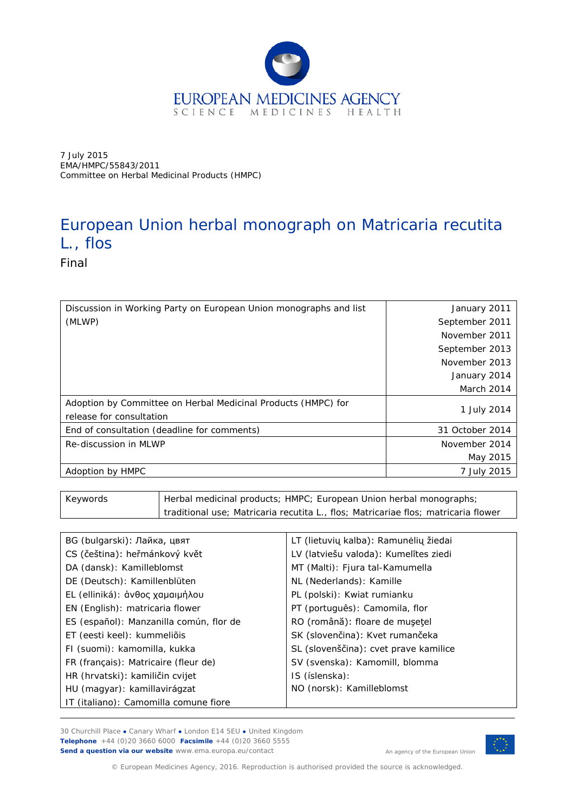

7 July 2015 EMA/HMPC/55843/2011 Committee on Herbal Medicinal Products (HMPC)

# European Union herbal monograph on *Matricaria recutita* L., flos

Final

| Discussion in Working Party on European Union monographs and list                         | January 2011    |
|-------------------------------------------------------------------------------------------|-----------------|
| (MLWP)                                                                                    | September 2011  |
|                                                                                           | November 2011   |
|                                                                                           | September 2013  |
|                                                                                           | November 2013   |
|                                                                                           | January 2014    |
|                                                                                           | March 2014      |
| Adoption by Committee on Herbal Medicinal Products (HMPC) for<br>release for consultation | 1 July 2014     |
| End of consultation (deadline for comments)                                               | 31 October 2014 |
| Re-discussion in MLWP                                                                     | November 2014   |
|                                                                                           | May 2015        |
| Adoption by HMPC                                                                          | 7 July 2015     |

| Keywords | Herbal medicinal products; HMPC; European Union herbal monographs;                 |  |
|----------|------------------------------------------------------------------------------------|--|
|          | traditional use; Matricaria recutita L., flos; Matricariae flos; matricaria flower |  |
|          |                                                                                    |  |

| BG (bulgarski): Лайка, цвят             | LT (lietuvių kalba): Ramunėlių žiedai |
|-----------------------------------------|---------------------------------------|
| CS (čeština): heřmánkový květ           | LV (latviešu valoda): Kumelītes ziedi |
| DA (dansk): Kamilleblomst               | MT (Malti): Fjura tal-Kamumella       |
| DE (Deutsch): Kamillenblüten            | NL (Nederlands): Kamille              |
| EL (elliniká): άνθος χαμαιμήλου         | PL (polski): Kwiat rumianku           |
| EN (English): matricaria flower         | PT (português): Camomila, flor        |
| ES (español): Manzanilla común, flor de | RO (română): floare de mușețel        |
| ET (eesti keel): kummeliõis             | SK (slovenčina): Kvet rumančeka       |
| FI (suomi): kamomilla, kukka            | SL (slovenščina): cvet prave kamilice |
| FR (français): Matricaire (fleur de)    | SV (svenska): Kamomill, blomma        |
| HR (hrvatski): kamiličin cvijet         | IS (íslenska):                        |
| HU (magyar): kamillavirágzat            | NO (norsk): Kamilleblomst             |
| IT (italiano): Camomilla comune fiore   |                                       |
|                                         |                                       |

30 Churchill Place **●** Canary Wharf **●** London E14 5EU **●** United Kingdom **Telephone** +44 (0)20 3660 6000 **Facsimile** +44 (0)20 3660 5555 **Send a question via our website** www.ema.europa.eu/contact



An agency of the European Union

© European Medicines Agency, 2016. Reproduction is authorised provided the source is acknowledged.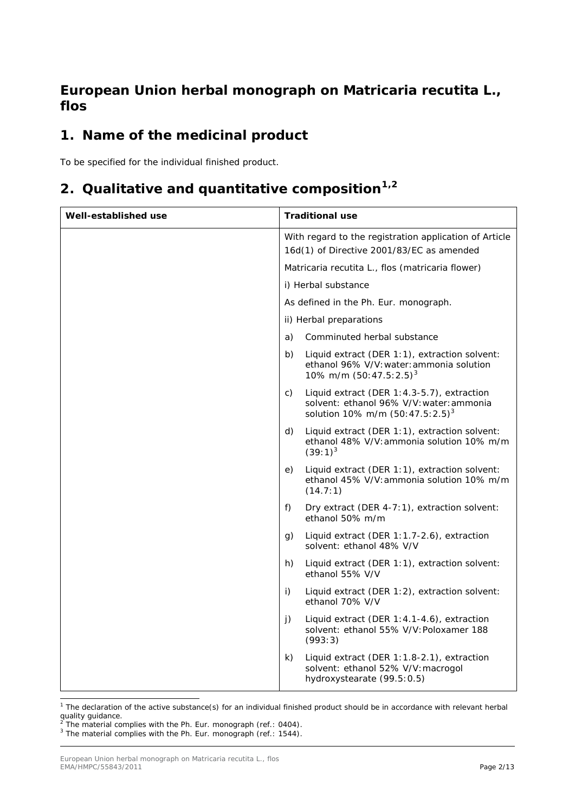# **European Union herbal monograph on** *Matricaria recutita* **L., flos**

# **1. Name of the medicinal product**

To be specified for the individual finished product.

# **2. Qualitative and quantitative composition[1,](#page-1-0)[2](#page-1-1)**

| Well-established use |    | <b>Traditional use</b>                                                                                                       |
|----------------------|----|------------------------------------------------------------------------------------------------------------------------------|
|                      |    | With regard to the registration application of Article<br>16d(1) of Directive 2001/83/EC as amended                          |
|                      |    | Matricaria recutita L., flos (matricaria flower)                                                                             |
|                      |    | i) Herbal substance                                                                                                          |
|                      |    | As defined in the Ph. Eur. monograph.                                                                                        |
|                      |    | ii) Herbal preparations                                                                                                      |
|                      | a) | Comminuted herbal substance                                                                                                  |
|                      | b) | Liquid extract (DER 1:1), extraction solvent:<br>ethanol 96% V/V: water: ammonia solution<br>10% m/m $(50:47.5:2.5)^3$       |
|                      | C) | Liquid extract (DER 1:4.3-5.7), extraction<br>solvent: ethanol 96% V/V: water: ammonia<br>solution 10% m/m $(50:47.5:2.5)^3$ |
|                      | d) | Liquid extract (DER 1:1), extraction solvent:<br>ethanol 48% V/V: ammonia solution 10% m/m<br>$(39:1)^3$                     |
|                      | e) | Liquid extract (DER 1:1), extraction solvent:<br>ethanol 45% V/V: ammonia solution 10% m/m<br>(14.7:1)                       |
|                      | f) | Dry extract (DER 4-7:1), extraction solvent:<br>ethanol 50% m/m                                                              |
|                      | g) | Liquid extract (DER 1:1.7-2.6), extraction<br>solvent: ethanol 48% V/V                                                       |
|                      | h) | Liquid extract (DER 1:1), extraction solvent:<br>ethanol 55% V/V                                                             |
|                      | i) | Liquid extract (DER 1:2), extraction solvent:<br>ethanol 70% V/V                                                             |
|                      | j) | Liquid extract (DER 1:4.1-4.6), extraction<br>solvent: ethanol 55% V/V: Poloxamer 188<br>(993:3)                             |
|                      | k) | Liquid extract (DER 1:1.8-2.1), extraction<br>solvent: ethanol 52% V/V: macrogol<br>hydroxystearate (99.5:0.5)               |

<span id="page-1-0"></span> $1$  The declaration of the active substance(s) for an individual finished product should be in accordance with relevant herbal

quality guidance.<br><sup>2</sup> The material complies with the Ph. Eur. monograph (ref.: 0404).

<span id="page-1-2"></span><span id="page-1-1"></span><sup>&</sup>lt;sup>3</sup> The material complies with the Ph. Eur. monograph (ref.: 1544).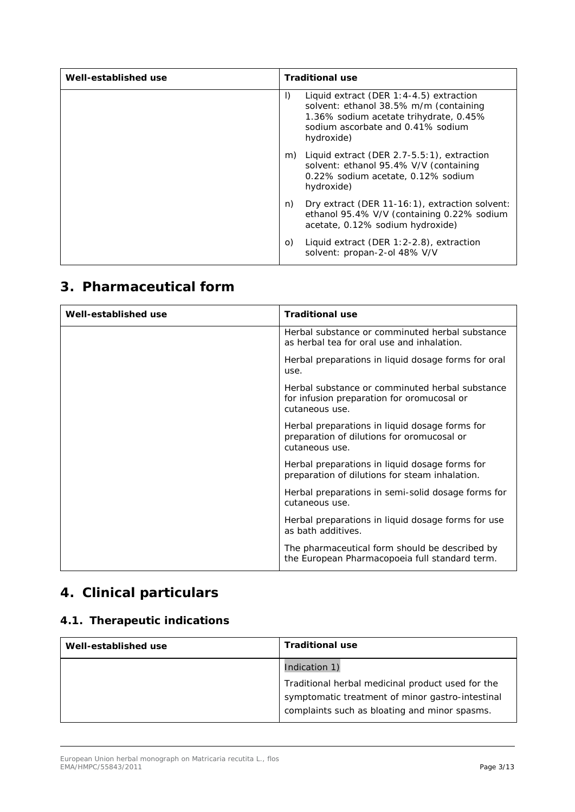| Well-established use |         | <b>Traditional use</b>                                                                                                                                                            |
|----------------------|---------|-----------------------------------------------------------------------------------------------------------------------------------------------------------------------------------|
|                      | $\vert$ | Liquid extract (DER $1:4-4.5$ ) extraction<br>solvent: ethanol 38.5% m/m (containing<br>1.36% sodium acetate trihydrate, 0.45%<br>sodium ascorbate and 0.41% sodium<br>hydroxide) |
|                      |         | m) Liquid extract (DER 2.7-5.5:1), extraction<br>solvent: ethanol 95.4% V/V (containing<br>0.22% sodium acetate, 0.12% sodium<br>hydroxide)                                       |
|                      | n)      | Dry extract (DER 11-16:1), extraction solvent:<br>ethanol 95.4% V/V (containing 0.22% sodium<br>acetate, 0.12% sodium hydroxide)                                                  |
|                      | O       | Liquid extract (DER $1:2-2.8$ ), extraction<br>solvent: propan-2-ol 48% V/V                                                                                                       |

# **3. Pharmaceutical form**

| Well-established use | <b>Traditional use</b>                                                                                          |
|----------------------|-----------------------------------------------------------------------------------------------------------------|
|                      | Herbal substance or comminuted herbal substance<br>as herbal tea for oral use and inhalation.                   |
|                      | Herbal preparations in liquid dosage forms for oral<br>use.                                                     |
|                      | Herbal substance or comminuted herbal substance<br>for infusion preparation for oromucosal or<br>cutaneous use. |
|                      | Herbal preparations in liquid dosage forms for<br>preparation of dilutions for oromucosal or<br>cutaneous use.  |
|                      | Herbal preparations in liquid dosage forms for<br>preparation of dilutions for steam inhalation.                |
|                      | Herbal preparations in semi-solid dosage forms for<br>cutaneous use.                                            |
|                      | Herbal preparations in liquid dosage forms for use<br>as bath additives.                                        |
|                      | The pharmaceutical form should be described by<br>the European Pharmacopoeia full standard term.                |

# **4. Clinical particulars**

### *4.1. Therapeutic indications*

| Well-established use | <b>Traditional use</b>                                                                            |
|----------------------|---------------------------------------------------------------------------------------------------|
|                      | Indication 1)                                                                                     |
|                      | Traditional herbal medicinal product used for the                                                 |
|                      | symptomatic treatment of minor gastro-intestinal<br>complaints such as bloating and minor spasms. |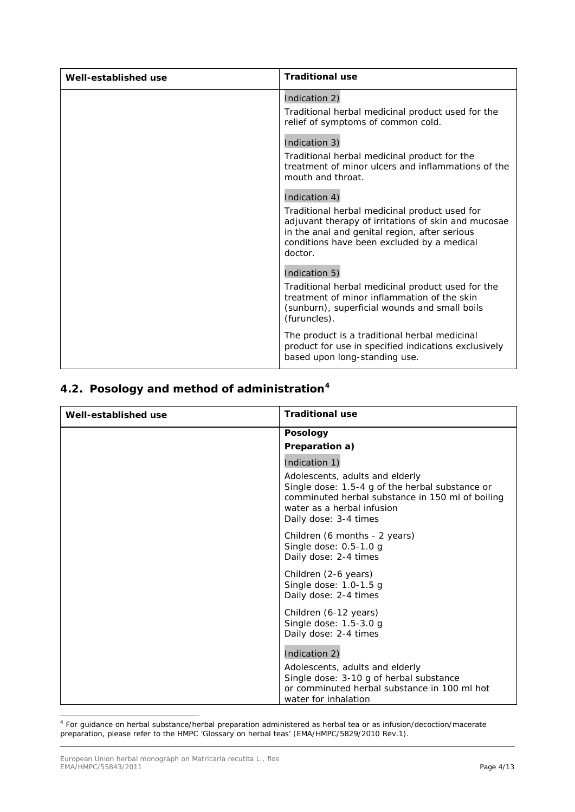| Well-established use | <b>Traditional use</b>                                                                                                                                                                                                          |
|----------------------|---------------------------------------------------------------------------------------------------------------------------------------------------------------------------------------------------------------------------------|
|                      | Indication 2)<br>Traditional herbal medicinal product used for the<br>relief of symptoms of common cold.                                                                                                                        |
|                      | Indication 3)<br>Traditional herbal medicinal product for the<br>treatment of minor ulcers and inflammations of the<br>mouth and throat.                                                                                        |
|                      | Indication 4)<br>Traditional herbal medicinal product used for<br>adjuvant therapy of irritations of skin and mucosae<br>in the anal and genital region, after serious<br>conditions have been excluded by a medical<br>doctor. |
|                      | Indication 5)<br>Traditional herbal medicinal product used for the<br>treatment of minor inflammation of the skin<br>(sunburn), superficial wounds and small boils<br>(furuncles).                                              |
|                      | The product is a traditional herbal medicinal<br>product for use in specified indications exclusively<br>based upon long-standing use.                                                                                          |

## *4.2. Posology and method of administration[4](#page-3-0)*

| Well-established use | <b>Traditional use</b>                                                                                                                                                                        |
|----------------------|-----------------------------------------------------------------------------------------------------------------------------------------------------------------------------------------------|
|                      | <b>Posology</b>                                                                                                                                                                               |
|                      | Preparation a)                                                                                                                                                                                |
|                      | Indication 1)                                                                                                                                                                                 |
|                      | Adolescents, adults and elderly<br>Single dose: 1.5-4 g of the herbal substance or<br>comminuted herbal substance in 150 ml of boiling<br>water as a herbal infusion<br>Daily dose: 3-4 times |
|                      | Children (6 months - 2 years)<br>Single dose: 0.5-1.0 g<br>Daily dose: 2-4 times                                                                                                              |
|                      | Children (2-6 years)<br>Single dose: $1.0-1.5$ g<br>Daily dose: 2-4 times                                                                                                                     |
|                      | Children (6-12 years)<br>Single dose: 1.5-3.0 g<br>Daily dose: 2-4 times                                                                                                                      |
|                      | Indication 2)                                                                                                                                                                                 |
|                      | Adolescents, adults and elderly<br>Single dose: 3-10 g of herbal substance<br>or comminuted herbal substance in 100 ml hot<br>water for inhalation                                            |

<span id="page-3-0"></span> <sup>4</sup> For guidance on herbal substance/herbal preparation administered as herbal tea or as infusion/decoction/macerate preparation, please refer to the HMPC 'Glossary on herbal teas' (EMA/HMPC/5829/2010 Rev.1).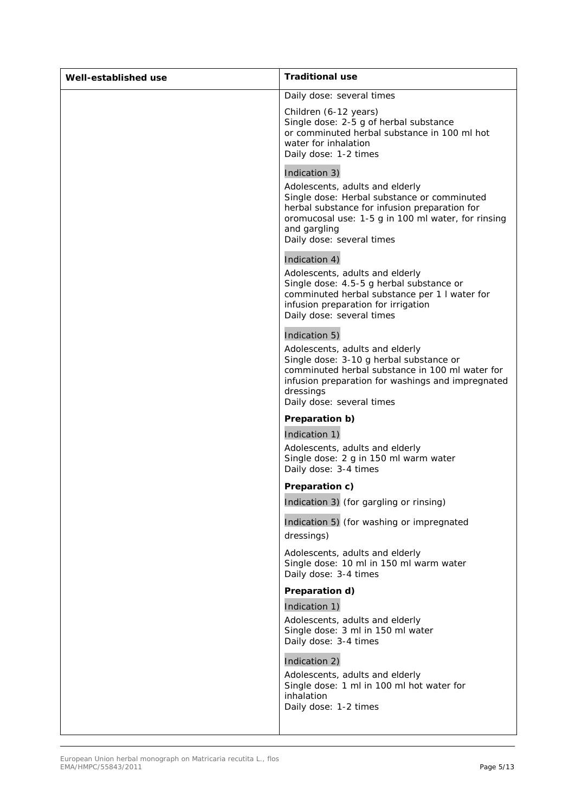| Well-established use | <b>Traditional use</b>                                                                                                                                                                                                                              |
|----------------------|-----------------------------------------------------------------------------------------------------------------------------------------------------------------------------------------------------------------------------------------------------|
|                      | Daily dose: several times                                                                                                                                                                                                                           |
|                      | Children (6-12 years)<br>Single dose: 2-5 g of herbal substance<br>or comminuted herbal substance in 100 ml hot<br>water for inhalation<br>Daily dose: 1-2 times                                                                                    |
|                      | Indication 3)<br>Adolescents, adults and elderly<br>Single dose: Herbal substance or comminuted<br>herbal substance for infusion preparation for<br>oromucosal use: 1-5 g in 100 ml water, for rinsing<br>and gargling<br>Daily dose: several times |
|                      | Indication 4)<br>Adolescents, adults and elderly<br>Single dose: 4.5-5 g herbal substance or<br>comminuted herbal substance per 1 I water for<br>infusion preparation for irrigation<br>Daily dose: several times                                   |
|                      | Indication 5)<br>Adolescents, adults and elderly<br>Single dose: 3-10 g herbal substance or<br>comminuted herbal substance in 100 ml water for<br>infusion preparation for washings and impregnated<br>dressings<br>Daily dose: several times       |
|                      | Preparation b)<br>Indication 1)<br>Adolescents, adults and elderly<br>Single dose: 2 g in 150 ml warm water<br>Daily dose: 3-4 times                                                                                                                |
|                      | Preparation c)                                                                                                                                                                                                                                      |
|                      | Indication 3) (for gargling or rinsing)<br>Indication 5) (for washing or impregnated<br>dressings)                                                                                                                                                  |
|                      | Adolescents, adults and elderly<br>Single dose: 10 ml in 150 ml warm water<br>Daily dose: 3-4 times                                                                                                                                                 |
|                      | Preparation d)<br>Indication 1)<br>Adolescents, adults and elderly<br>Single dose: 3 ml in 150 ml water<br>Daily dose: 3-4 times                                                                                                                    |
|                      | Indication 2)<br>Adolescents, adults and elderly<br>Single dose: 1 ml in 100 ml hot water for<br>inhalation<br>Daily dose: 1-2 times                                                                                                                |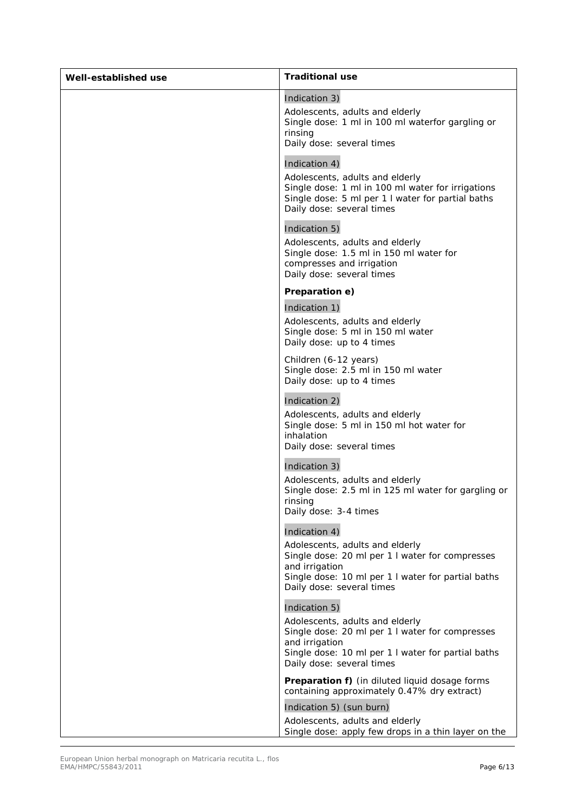| Well-established use | <b>Traditional use</b>                                                                                                                                                                                                                                                                                                                  |
|----------------------|-----------------------------------------------------------------------------------------------------------------------------------------------------------------------------------------------------------------------------------------------------------------------------------------------------------------------------------------|
|                      | Indication 3)<br>Adolescents, adults and elderly<br>Single dose: 1 ml in 100 ml waterfor gargling or<br>rinsing<br>Daily dose: several times<br>Indication 4)<br>Adolescents, adults and elderly<br>Single dose: 1 ml in 100 ml water for irrigations<br>Single dose: 5 ml per 1 I water for partial baths<br>Daily dose: several times |
|                      | Indication 5)<br>Adolescents, adults and elderly<br>Single dose: 1.5 ml in 150 ml water for<br>compresses and irrigation<br>Daily dose: several times                                                                                                                                                                                   |
|                      | Preparation e)<br>Indication 1)<br>Adolescents, adults and elderly<br>Single dose: 5 ml in 150 ml water<br>Daily dose: up to 4 times                                                                                                                                                                                                    |
|                      | Children (6-12 years)<br>Single dose: 2.5 ml in 150 ml water<br>Daily dose: up to 4 times                                                                                                                                                                                                                                               |
|                      | Indication 2)<br>Adolescents, adults and elderly<br>Single dose: 5 ml in 150 ml hot water for<br>inhalation<br>Daily dose: several times                                                                                                                                                                                                |
|                      | Indication 3)<br>Adolescents, adults and elderly<br>Single dose: 2.5 ml in 125 ml water for gargling or<br>rinsing<br>Daily dose: 3-4 times                                                                                                                                                                                             |
|                      | Indication 4)<br>Adolescents, adults and elderly<br>Single dose: 20 ml per 1 I water for compresses<br>and irrigation<br>Single dose: 10 ml per 1 I water for partial baths<br>Daily dose: several times                                                                                                                                |
|                      | Indication 5)<br>Adolescents, adults and elderly<br>Single dose: 20 ml per 1 I water for compresses<br>and irrigation<br>Single dose: 10 ml per 1 I water for partial baths<br>Daily dose: several times                                                                                                                                |
|                      | <b>Preparation f)</b> (in diluted liquid dosage forms<br>containing approximately 0.47% dry extract)                                                                                                                                                                                                                                    |
|                      | Indication 5) (sun burn)<br>Adolescents, adults and elderly<br>Single dose: apply few drops in a thin layer on the                                                                                                                                                                                                                      |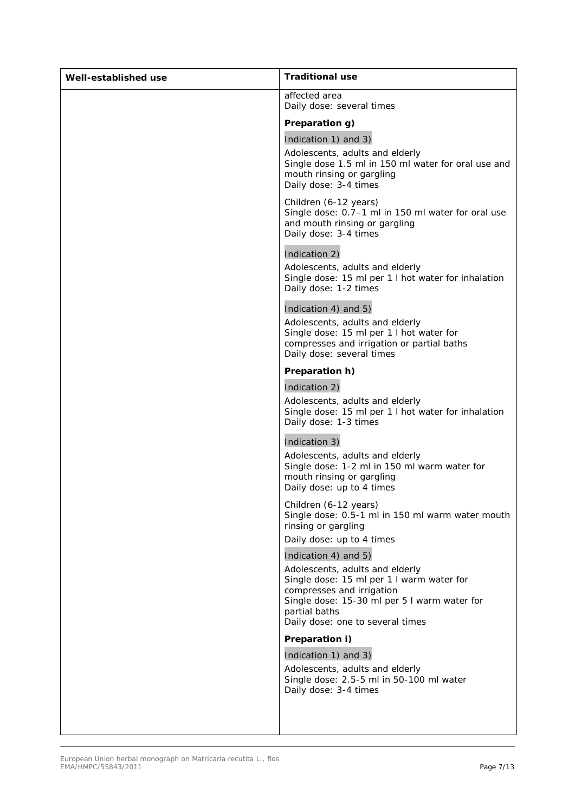| Well-established use | <b>Traditional use</b>                                                                                                                                                                                         |
|----------------------|----------------------------------------------------------------------------------------------------------------------------------------------------------------------------------------------------------------|
|                      | affected area<br>Daily dose: several times                                                                                                                                                                     |
|                      | Preparation g)                                                                                                                                                                                                 |
|                      | Indication 1) and 3)<br>Adolescents, adults and elderly<br>Single dose 1.5 ml in 150 ml water for oral use and<br>mouth rinsing or gargling<br>Daily dose: 3-4 times                                           |
|                      | Children (6-12 years)<br>Single dose: 0.7-1 ml in 150 ml water for oral use<br>and mouth rinsing or gargling<br>Daily dose: 3-4 times                                                                          |
|                      | Indication 2)                                                                                                                                                                                                  |
|                      | Adolescents, adults and elderly<br>Single dose: 15 ml per 1 I hot water for inhalation<br>Daily dose: 1-2 times                                                                                                |
|                      | Indication 4) and 5)                                                                                                                                                                                           |
|                      | Adolescents, adults and elderly<br>Single dose: 15 ml per 1 l hot water for<br>compresses and irrigation or partial baths<br>Daily dose: several times                                                         |
|                      | Preparation h)                                                                                                                                                                                                 |
|                      | Indication 2)                                                                                                                                                                                                  |
|                      | Adolescents, adults and elderly<br>Single dose: 15 ml per 1 I hot water for inhalation<br>Daily dose: 1-3 times                                                                                                |
|                      | Indication 3)                                                                                                                                                                                                  |
|                      | Adolescents, adults and elderly<br>Single dose: 1-2 ml in 150 ml warm water for<br>mouth rinsing or gargling<br>Daily dose: up to 4 times                                                                      |
|                      | Children (6-12 years)<br>Single dose: 0.5-1 ml in 150 ml warm water mouth<br>rinsing or gargling<br>Daily dose: up to 4 times                                                                                  |
|                      | Indication 4) and 5)                                                                                                                                                                                           |
|                      | Adolescents, adults and elderly<br>Single dose: 15 ml per 1 I warm water for<br>compresses and irrigation<br>Single dose: 15-30 ml per 5 I warm water for<br>partial baths<br>Daily dose: one to several times |
|                      | Preparation i)                                                                                                                                                                                                 |
|                      | Indication 1) and 3)                                                                                                                                                                                           |
|                      | Adolescents, adults and elderly<br>Single dose: 2.5-5 ml in 50-100 ml water<br>Daily dose: 3-4 times                                                                                                           |
|                      |                                                                                                                                                                                                                |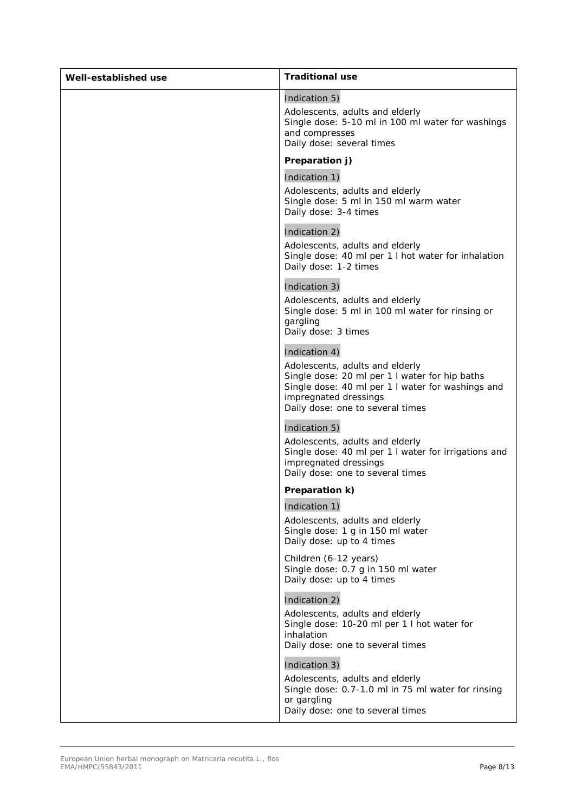| Well-established use | <b>Traditional use</b>                                                                                                                                                                                               |
|----------------------|----------------------------------------------------------------------------------------------------------------------------------------------------------------------------------------------------------------------|
|                      | Indication 5)<br>Adolescents, adults and elderly<br>Single dose: 5-10 ml in 100 ml water for washings<br>and compresses<br>Daily dose: several times                                                                 |
|                      | Preparation j)                                                                                                                                                                                                       |
|                      | Indication 1)<br>Adolescents, adults and elderly<br>Single dose: 5 ml in 150 ml warm water<br>Daily dose: 3-4 times                                                                                                  |
|                      | Indication 2)<br>Adolescents, adults and elderly<br>Single dose: 40 ml per 1 I hot water for inhalation<br>Daily dose: 1-2 times                                                                                     |
|                      | Indication 3)<br>Adolescents, adults and elderly<br>Single dose: 5 ml in 100 ml water for rinsing or<br>gargling<br>Daily dose: 3 times                                                                              |
|                      | Indication 4)<br>Adolescents, adults and elderly<br>Single dose: 20 ml per 1 I water for hip baths<br>Single dose: 40 ml per 1 I water for washings and<br>impregnated dressings<br>Daily dose: one to several times |
|                      | Indication 5)<br>Adolescents, adults and elderly<br>Single dose: 40 ml per 1 I water for irrigations and<br>impregnated dressings<br>Daily dose: one to several times                                                |
|                      | Preparation k)                                                                                                                                                                                                       |
|                      | Indication 1)<br>Adolescents, adults and elderly<br>Single dose: 1 g in 150 ml water<br>Daily dose: up to 4 times                                                                                                    |
|                      | Children (6-12 years)<br>Single dose: 0.7 g in 150 ml water<br>Daily dose: up to 4 times                                                                                                                             |
|                      | Indication 2)<br>Adolescents, adults and elderly<br>Single dose: 10-20 ml per 1 I hot water for<br>inhalation<br>Daily dose: one to several times                                                                    |
|                      | Indication 3)<br>Adolescents, adults and elderly<br>Single dose: 0.7-1.0 ml in 75 ml water for rinsing<br>or gargling<br>Daily dose: one to several times                                                            |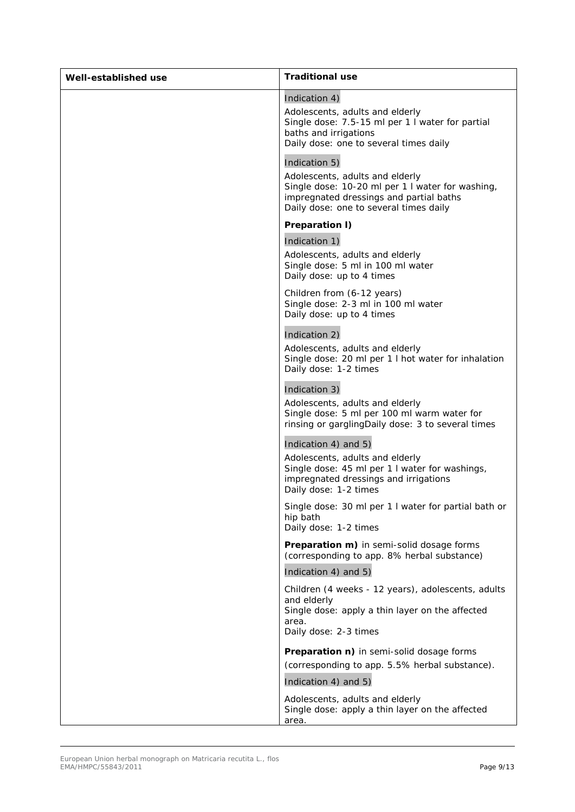| Well-established use | <b>Traditional use</b>                                                                                                                                                                                                                                                                                                                                               |
|----------------------|----------------------------------------------------------------------------------------------------------------------------------------------------------------------------------------------------------------------------------------------------------------------------------------------------------------------------------------------------------------------|
|                      | Indication 4)<br>Adolescents, adults and elderly<br>Single dose: 7.5-15 ml per 1 I water for partial<br>baths and irrigations<br>Daily dose: one to several times daily<br>Indication 5)<br>Adolescents, adults and elderly<br>Single dose: 10-20 ml per 1 I water for washing,<br>impregnated dressings and partial baths<br>Daily dose: one to several times daily |
|                      | Preparation I)<br>Indication 1)                                                                                                                                                                                                                                                                                                                                      |
|                      | Adolescents, adults and elderly<br>Single dose: 5 ml in 100 ml water<br>Daily dose: up to 4 times                                                                                                                                                                                                                                                                    |
|                      | Children from (6-12 years)<br>Single dose: 2-3 ml in 100 ml water<br>Daily dose: up to 4 times                                                                                                                                                                                                                                                                       |
|                      | Indication 2)<br>Adolescents, adults and elderly<br>Single dose: 20 ml per 1 I hot water for inhalation<br>Daily dose: 1-2 times                                                                                                                                                                                                                                     |
|                      | Indication 3)<br>Adolescents, adults and elderly<br>Single dose: 5 ml per 100 ml warm water for<br>rinsing or gargling Daily dose: 3 to several times                                                                                                                                                                                                                |
|                      | Indication 4) and 5)<br>Adolescents, adults and elderly<br>Single dose: 45 ml per 1 I water for washings,<br>impregnated dressings and irrigations<br>Daily dose: 1-2 times                                                                                                                                                                                          |
|                      | Single dose: 30 ml per 1 I water for partial bath or<br>hip bath<br>Daily dose: 1-2 times                                                                                                                                                                                                                                                                            |
|                      | Preparation m) in semi-solid dosage forms<br>(corresponding to app. 8% herbal substance)<br>Indication 4) and 5)                                                                                                                                                                                                                                                     |
|                      | Children (4 weeks - 12 years), adolescents, adults<br>and elderly<br>Single dose: apply a thin layer on the affected<br>area.<br>Daily dose: 2-3 times                                                                                                                                                                                                               |
|                      | Preparation n) in semi-solid dosage forms<br>(corresponding to app. 5.5% herbal substance).<br>Indication 4) and 5)                                                                                                                                                                                                                                                  |
|                      | Adolescents, adults and elderly<br>Single dose: apply a thin layer on the affected<br>area.                                                                                                                                                                                                                                                                          |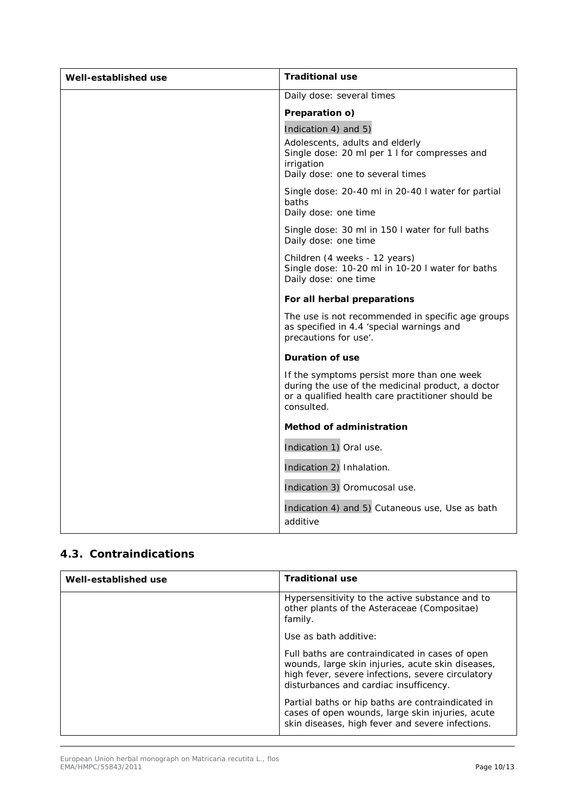| Well-established use | <b>Traditional use</b>                                                                                                                                             |
|----------------------|--------------------------------------------------------------------------------------------------------------------------------------------------------------------|
|                      | Daily dose: several times                                                                                                                                          |
|                      | Preparation o)                                                                                                                                                     |
|                      | Indication 4) and 5)                                                                                                                                               |
|                      | Adolescents, adults and elderly<br>Single dose: 20 ml per 1 I for compresses and<br>irrigation<br>Daily dose: one to several times                                 |
|                      | Single dose: 20-40 ml in 20-40 I water for partial<br>baths<br>Daily dose: one time                                                                                |
|                      | Single dose: 30 ml in 150 I water for full baths<br>Daily dose: one time                                                                                           |
|                      | Children (4 weeks - 12 years)<br>Single dose: 10-20 ml in 10-20 I water for baths<br>Daily dose: one time                                                          |
|                      | For all herbal preparations                                                                                                                                        |
|                      | The use is not recommended in specific age groups<br>as specified in 4.4 'special warnings and<br>precautions for use'.                                            |
|                      | <b>Duration of use</b>                                                                                                                                             |
|                      | If the symptoms persist more than one week<br>during the use of the medicinal product, a doctor<br>or a qualified health care practitioner should be<br>consulted. |
|                      | <b>Method of administration</b>                                                                                                                                    |
|                      | Indication 1) Oral use.                                                                                                                                            |
|                      | Indication 2) Inhalation.                                                                                                                                          |
|                      | Indication 3) Oromucosal use.                                                                                                                                      |
|                      | Indication 4) and 5) Cutaneous use, Use as bath<br>additive                                                                                                        |

#### *4.3. Contraindications*

| Well-established use | <b>Traditional use</b>                                                                                                                                                                              |
|----------------------|-----------------------------------------------------------------------------------------------------------------------------------------------------------------------------------------------------|
|                      | Hypersensitivity to the active substance and to<br>other plants of the Asteraceae (Compositae)<br>family.                                                                                           |
|                      | Use as bath additive:                                                                                                                                                                               |
|                      | Full baths are contraindicated in cases of open<br>wounds, large skin injuries, acute skin diseases,<br>high fever, severe infections, severe circulatory<br>disturbances and cardiac insufficency. |
|                      | Partial baths or hip baths are contraindicated in<br>cases of open wounds, large skin injuries, acute<br>skin diseases, high fever and severe infections.                                           |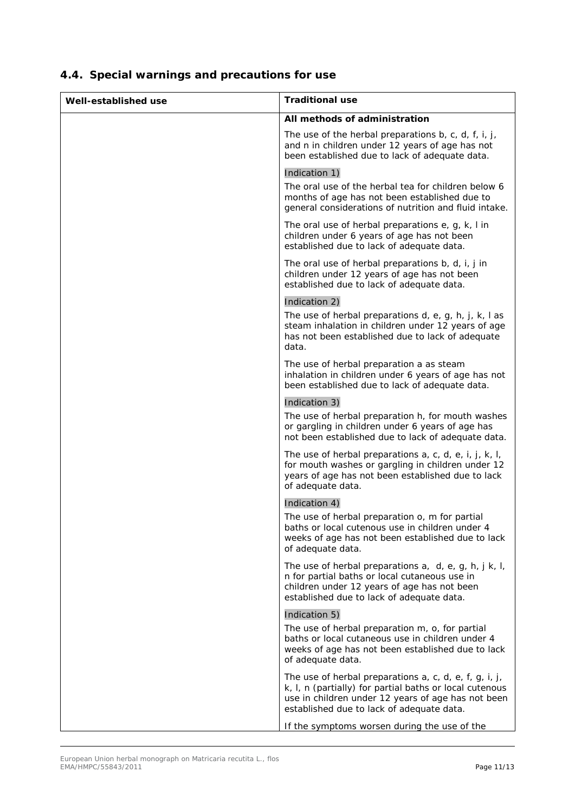| Well-established use | <b>Traditional use</b>                                                                                                                                                                                               |
|----------------------|----------------------------------------------------------------------------------------------------------------------------------------------------------------------------------------------------------------------|
|                      | All methods of administration                                                                                                                                                                                        |
|                      | The use of the herbal preparations b, c, d, f, i, j,<br>and n in children under 12 years of age has not<br>been established due to lack of adequate data.                                                            |
|                      | Indication 1)                                                                                                                                                                                                        |
|                      | The oral use of the herbal tea for children below 6<br>months of age has not been established due to<br>general considerations of nutrition and fluid intake.                                                        |
|                      | The oral use of herbal preparations e, g, k, I in<br>children under 6 years of age has not been<br>established due to lack of adequate data.                                                                         |
|                      | The oral use of herbal preparations b, d, i, j in<br>children under 12 years of age has not been<br>established due to lack of adequate data.                                                                        |
|                      | Indication 2)                                                                                                                                                                                                        |
|                      | The use of herbal preparations $d$ , e, g, h, j, k, l as<br>steam inhalation in children under 12 years of age<br>has not been established due to lack of adequate<br>data.                                          |
|                      | The use of herbal preparation a as steam<br>inhalation in children under 6 years of age has not<br>been established due to lack of adequate data.                                                                    |
|                      | Indication 3)                                                                                                                                                                                                        |
|                      | The use of herbal preparation h, for mouth washes<br>or gargling in children under 6 years of age has<br>not been established due to lack of adequate data.                                                          |
|                      | The use of herbal preparations a, c, d, e, i, j, k, l,<br>for mouth washes or gargling in children under 12<br>years of age has not been established due to lack<br>of adequate data.                                |
|                      | Indication 4)                                                                                                                                                                                                        |
|                      | The use of herbal preparation o, m for partial<br>baths or local cutenous use in children under 4<br>weeks of age has not been established due to lack<br>of adequate data.                                          |
|                      | The use of herbal preparations $a, d, e, g, h, j, k, l$ ,<br>n for partial baths or local cutaneous use in<br>children under 12 years of age has not been<br>established due to lack of adequate data.               |
|                      | Indication 5)                                                                                                                                                                                                        |
|                      | The use of herbal preparation m, o, for partial<br>baths or local cutaneous use in children under 4<br>weeks of age has not been established due to lack<br>of adequate data.                                        |
|                      | The use of herbal preparations a, c, d, e, f, g, i, j,<br>k, I, n (partially) for partial baths or local cutenous<br>use in children under 12 years of age has not been<br>established due to lack of adequate data. |
|                      | If the symptoms worsen during the use of the                                                                                                                                                                         |

# *4.4. Special warnings and precautions for use*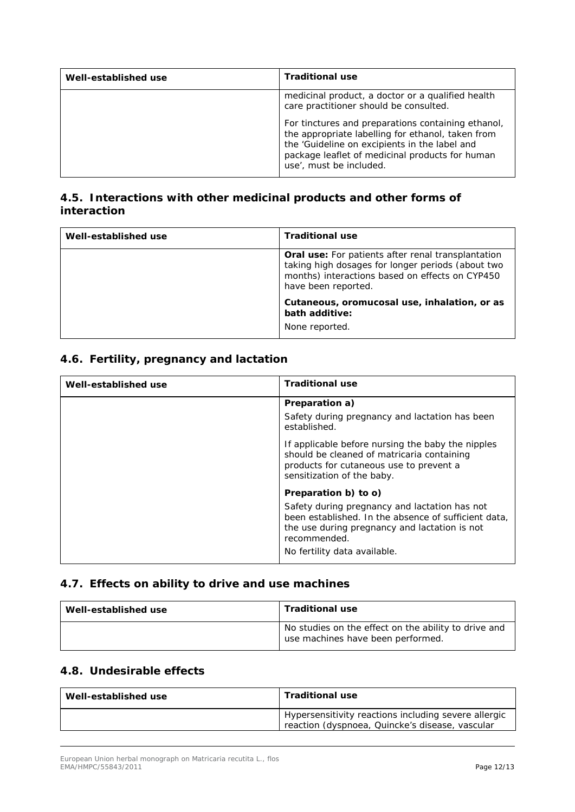| Well-established use | <b>Traditional use</b>                                                                                                                                                                                                                 |
|----------------------|----------------------------------------------------------------------------------------------------------------------------------------------------------------------------------------------------------------------------------------|
|                      | medicinal product, a doctor or a qualified health<br>care practitioner should be consulted.                                                                                                                                            |
|                      | For tinctures and preparations containing ethanol,<br>the appropriate labelling for ethanol, taken from<br>the 'Guideline on excipients in the label and<br>package leaflet of medicinal products for human<br>use', must be included. |

#### *4.5. Interactions with other medicinal products and other forms of interaction*

| Well-established use | <b>Traditional use</b>                                                                                                                                                                   |
|----------------------|------------------------------------------------------------------------------------------------------------------------------------------------------------------------------------------|
|                      | <b>Oral use:</b> For patients after renal transplantation<br>taking high dosages for longer periods (about two<br>months) interactions based on effects on CYP450<br>have been reported. |
|                      | Cutaneous, oromucosal use, inhalation, or as<br>bath additive:<br>None reported.                                                                                                         |

### *4.6. Fertility, pregnancy and lactation*

| Well-established use | <b>Traditional use</b>                                                                                                                                                                                 |
|----------------------|--------------------------------------------------------------------------------------------------------------------------------------------------------------------------------------------------------|
|                      | Preparation a)                                                                                                                                                                                         |
|                      | Safety during pregnancy and lactation has been<br>established.                                                                                                                                         |
|                      | If applicable before nursing the baby the nipples<br>should be cleaned of matricaria containing<br>products for cutaneous use to prevent a<br>sensitization of the baby.                               |
|                      | Preparation b) to o)                                                                                                                                                                                   |
|                      | Safety during pregnancy and lactation has not<br>been established. In the absence of sufficient data.<br>the use during pregnancy and lactation is not<br>recommended.<br>No fertility data available. |

#### *4.7. Effects on ability to drive and use machines*

| Well-established use | <b>Traditional use</b>                                                                    |
|----------------------|-------------------------------------------------------------------------------------------|
|                      | No studies on the effect on the ability to drive and<br>use machines have been performed. |

### *4.8. Undesirable effects*

| Well-established use | <b>Traditional use</b>                                                                                  |
|----------------------|---------------------------------------------------------------------------------------------------------|
|                      | Hypersensitivity reactions including severe allergic<br>reaction (dyspnoea, Quincke's disease, vascular |